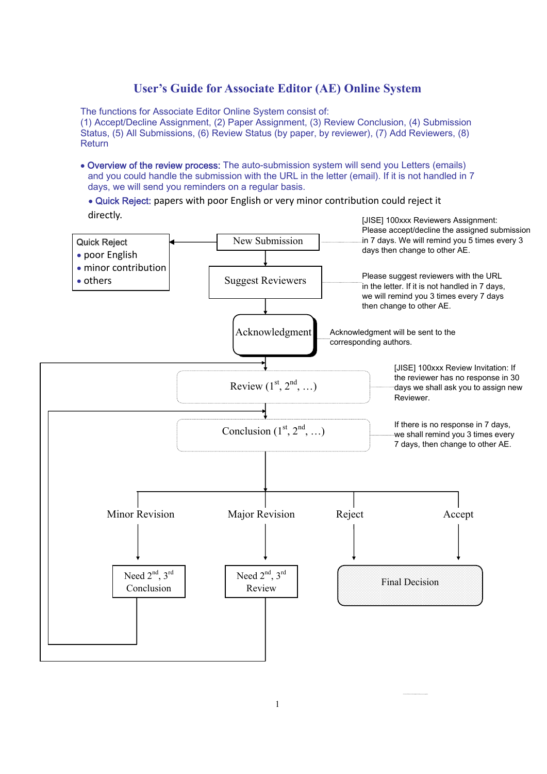# **User's Guide for Associate Editor (AE) Online System**

The functions for Associate Editor Online System consist of: (1) Accept/Decline Assignment, (2) Paper Assignment, (3) Review Conclusion, (4) Submission Status, (5) All Submissions, (6) Review Status (by paper, by reviewer), (7) Add Reviewers, (8) **Return** 

- Overview of the review process: The auto-submission system will send you Letters (emails) and you could handle the submission with the URL in the letter (email). If it is not handled in 7 days, we will send you reminders on a regular basis.
	- Quick Reject: papers with poor English or very minor contribution could reject it directly.

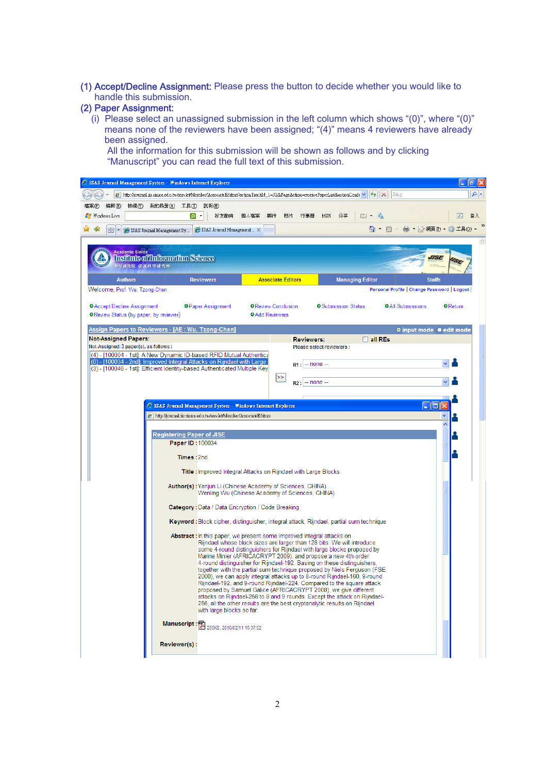(1) Accept/Decline Assignment: Please press the button to decide whether you would like to handle this submission.

## (2) Paper Assignment:

(i) Please select an unassigned submission in the left column which shows " $(0)$ ", where " $(0)$ " means none of the reviewers have been assigned; "(4)" means 4 reviewers have already been assigned.

All the information for this submission will be shown as follows and by clicking "Manuscript" you can read the full text of this submission.

| C ISAS Journal Management System - Windows Internet Explorer                                                                                                                               |                                  |                                                                                                                                                                                                                                                                                                                                                                                                                                                                                                                                                                                                                                                                                                                                                                                                                                                                        |                                                                                |                                                     |                                                      |                |                                                                                           | аI                                 |
|--------------------------------------------------------------------------------------------------------------------------------------------------------------------------------------------|----------------------------------|------------------------------------------------------------------------------------------------------------------------------------------------------------------------------------------------------------------------------------------------------------------------------------------------------------------------------------------------------------------------------------------------------------------------------------------------------------------------------------------------------------------------------------------------------------------------------------------------------------------------------------------------------------------------------------------------------------------------------------------------------------------------------------------------------------------------------------------------------------------------|--------------------------------------------------------------------------------|-----------------------------------------------------|------------------------------------------------------|----------------|-------------------------------------------------------------------------------------------|------------------------------------|
|                                                                                                                                                                                            |                                  | Altp://journal.iis.sinica.edu.tw/servlet/Member/AssociateEditors?actionTrackId_1=32&PageAction=receivePaperList&actionConfe v  ++  X                                                                                                                                                                                                                                                                                                                                                                                                                                                                                                                                                                                                                                                                                                                                   |                                                                                |                                                     |                                                      |                | Bing                                                                                      | - ام                               |
| 編輯(E)<br>檔案田<br>檢視(Y)                                                                                                                                                                      | 我的最愛仏)<br>工具①                    | 説明(H)                                                                                                                                                                                                                                                                                                                                                                                                                                                                                                                                                                                                                                                                                                                                                                                                                                                                  |                                                                                |                                                     |                                                      |                |                                                                                           |                                    |
| <b>Nindows</b> Live                                                                                                                                                                        | َم                               | 好友動向<br>個人檔案                                                                                                                                                                                                                                                                                                                                                                                                                                                                                                                                                                                                                                                                                                                                                                                                                                                           | 郵件<br>相片                                                                       | 行事曆                                                 | MSN<br>分享                                            | 国 - 味          |                                                                                           | <b>V</b><br>登入                     |
| 47<br>$88 -$                                                                                                                                                                               | SAS Journal Management Sy        | SAS Journal Management X                                                                                                                                                                                                                                                                                                                                                                                                                                                                                                                                                                                                                                                                                                                                                                                                                                               |                                                                                |                                                     |                                                      | A - N          |                                                                                           | - ☆ 網頁① - ◎ 工具①)                   |
| <b>Academia Sinica</b><br>中央研究院 資訊科學研究所<br><b>Authors</b><br>Welcome, Prof. Wu, Tzong-Chen<br><sup>O</sup> Accept/Decline Assignment<br><sup>O</sup> Review Status (by paper, by reviewer) | Institute of Information Science | <b>Reviewers</b><br><sup>O</sup> Paper Assignment                                                                                                                                                                                                                                                                                                                                                                                                                                                                                                                                                                                                                                                                                                                                                                                                                      | <b>Associate Editors</b><br><b>OReview Conclusion</b><br><b>OAdd Reviewers</b> |                                                     | <b>Managing Editor</b><br><b>O</b> Submission Status |                | <b>Staffs</b><br>Personal Profile   Change Password   Logout  <br><b>OAII</b> Submissions | <b>IISE</b><br><sup>o</sup> Return |
| Assign Papers to Reviewers - [AE : Wu, Tzong-Chen]                                                                                                                                         |                                  |                                                                                                                                                                                                                                                                                                                                                                                                                                                                                                                                                                                                                                                                                                                                                                                                                                                                        |                                                                                |                                                     |                                                      |                | <b>O</b> input mode ● edit mode                                                           |                                    |
| <b>Not-Assigned Papers:</b>                                                                                                                                                                |                                  |                                                                                                                                                                                                                                                                                                                                                                                                                                                                                                                                                                                                                                                                                                                                                                                                                                                                        |                                                                                | <b>Reviewers:</b>                                   |                                                      | $\Box$ all REs |                                                                                           |                                    |
| Not-Assigned: 3 paper(s), as follows :                                                                                                                                                     |                                  |                                                                                                                                                                                                                                                                                                                                                                                                                                                                                                                                                                                                                                                                                                                                                                                                                                                                        |                                                                                | Please select reviewers :                           |                                                      |                |                                                                                           |                                    |
|                                                                                                                                                                                            |                                  | (4) - [100004 - 1st]: A New Dynamic ID-based RFID Mutual Authentica<br>(0) - [100034 - 2nd]: Improved Integral Attacks on Rijndael with Large<br>(3) - [100046 - 1st]: Efficient Identity-based Authenticated Multiple Key                                                                                                                                                                                                                                                                                                                                                                                                                                                                                                                                                                                                                                             | >>                                                                             | $-$ none $-$<br>R <sub>1</sub><br>-- none --<br>R2: |                                                      |                |                                                                                           |                                    |
|                                                                                                                                                                                            |                                  |                                                                                                                                                                                                                                                                                                                                                                                                                                                                                                                                                                                                                                                                                                                                                                                                                                                                        |                                                                                |                                                     |                                                      |                |                                                                                           |                                    |
|                                                                                                                                                                                            |                                  | SISAS Journal Management System - Windows Internet Explorer                                                                                                                                                                                                                                                                                                                                                                                                                                                                                                                                                                                                                                                                                                                                                                                                            |                                                                                |                                                     |                                                      |                | $\Box$ e                                                                                  |                                    |
|                                                                                                                                                                                            |                                  | A http://journal.iis.sinica.edu.tw/servlet/Member/AssociateEditors                                                                                                                                                                                                                                                                                                                                                                                                                                                                                                                                                                                                                                                                                                                                                                                                     |                                                                                |                                                     |                                                      |                |                                                                                           |                                    |
|                                                                                                                                                                                            |                                  |                                                                                                                                                                                                                                                                                                                                                                                                                                                                                                                                                                                                                                                                                                                                                                                                                                                                        |                                                                                |                                                     |                                                      |                |                                                                                           |                                    |
|                                                                                                                                                                                            | <b>Registering Paper of JISE</b> |                                                                                                                                                                                                                                                                                                                                                                                                                                                                                                                                                                                                                                                                                                                                                                                                                                                                        |                                                                                |                                                     |                                                      |                |                                                                                           |                                    |
|                                                                                                                                                                                            | Paper ID: 100034                 |                                                                                                                                                                                                                                                                                                                                                                                                                                                                                                                                                                                                                                                                                                                                                                                                                                                                        |                                                                                |                                                     |                                                      |                |                                                                                           |                                    |
|                                                                                                                                                                                            | Times: 2nd                       |                                                                                                                                                                                                                                                                                                                                                                                                                                                                                                                                                                                                                                                                                                                                                                                                                                                                        |                                                                                |                                                     |                                                      |                |                                                                                           |                                    |
|                                                                                                                                                                                            |                                  | Title : Improved Integral Attacks on Rijndael with Large Blocks                                                                                                                                                                                                                                                                                                                                                                                                                                                                                                                                                                                                                                                                                                                                                                                                        |                                                                                |                                                     |                                                      |                |                                                                                           |                                    |
|                                                                                                                                                                                            |                                  | Author(s): Yanjun Li (Chinese Academy of Sciences, CHINA)<br>Wenling Wu (Chinese Academy of Sciences, CHINA)                                                                                                                                                                                                                                                                                                                                                                                                                                                                                                                                                                                                                                                                                                                                                           |                                                                                |                                                     |                                                      |                |                                                                                           |                                    |
|                                                                                                                                                                                            |                                  | Category: Data / Data Encryption / Code Breaking                                                                                                                                                                                                                                                                                                                                                                                                                                                                                                                                                                                                                                                                                                                                                                                                                       |                                                                                |                                                     |                                                      |                |                                                                                           |                                    |
|                                                                                                                                                                                            |                                  | Keyword : Block cipher, distinguisher, integral attack, Rijndael, partial sum technique                                                                                                                                                                                                                                                                                                                                                                                                                                                                                                                                                                                                                                                                                                                                                                                |                                                                                |                                                     |                                                      |                |                                                                                           |                                    |
|                                                                                                                                                                                            |                                  | <b>Abstract:</b> In this paper, we present some improved integral attacks on<br>Rijndael whose block sizes are larger than 128 bits. We will introduce<br>some 4-round distinguishers for Rijndael with large blocks proposed by<br>Marine Minier (AFRICACRYPT 2009), and propose a new 4th-order<br>4-round distinguisher for Rijndael-192. Basing on these distinguishers,<br>together with the partial sum technique proposed by Niels Ferguson (FSE<br>2000), we can apply integral attacks up to 8-round Rijndael-160, 9-round<br>Rijndael-192, and 9-round Rijndael-224. Compared to the square attack<br>proposed by Samuel Galice (AFRICACRYPT 2008), we give different<br>attacks on Rijndael-256 to 8 and 9 rounds. Except the attack on Rijndael-<br>256, all the other results are the best cryptanalytic results on Rijndael<br>with large blocks so far. |                                                                                |                                                     |                                                      |                |                                                                                           |                                    |
|                                                                                                                                                                                            |                                  | Manuscript : 25KB, 2010/02/11 15:37:52                                                                                                                                                                                                                                                                                                                                                                                                                                                                                                                                                                                                                                                                                                                                                                                                                                 |                                                                                |                                                     |                                                      |                |                                                                                           |                                    |
|                                                                                                                                                                                            | Reviewer(s):                     |                                                                                                                                                                                                                                                                                                                                                                                                                                                                                                                                                                                                                                                                                                                                                                                                                                                                        |                                                                                |                                                     |                                                      |                |                                                                                           |                                    |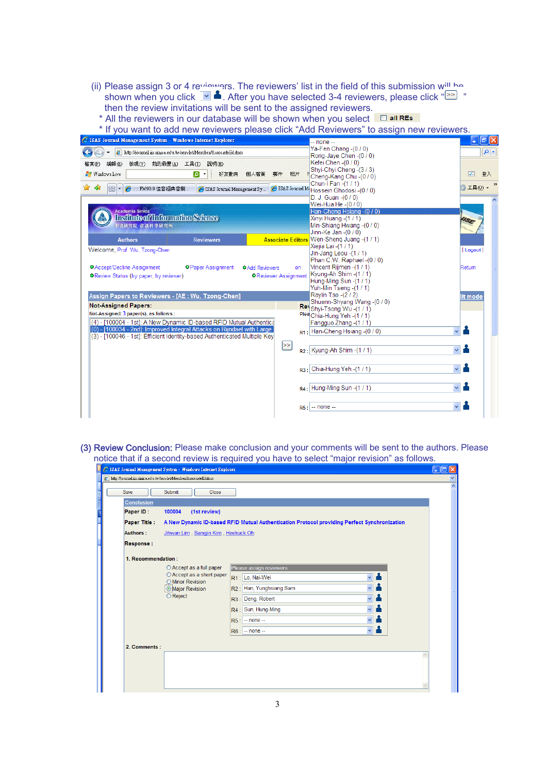- (ii) Please assign 3 or 4 reviewers. The reviewers' list in the field of this submission will be shown when you click <u>Moster you have selected 3-4 reviewers, please click</u> " then the review invitations will be sent to the assigned reviewers.
- \* All the reviewers in our database will be shown when you select  $\Box$  all RES

\* If you want to add new reviewers please click "Add Reviewers" to assign new reviewers.

| E ISAS Journal Management System - Windows Internet Explorer                                                                                  |                                                                  | $-$ none $-$                                                                                                                          | $\Box$ e $\boxtimes$   |
|-----------------------------------------------------------------------------------------------------------------------------------------------|------------------------------------------------------------------|---------------------------------------------------------------------------------------------------------------------------------------|------------------------|
| $\epsilon$ http://journal.iis.sinica.edu.tw/servlet/Member/AssociateEditors                                                                   |                                                                  | Ya-Fen Chang -(0 / 0)<br>Rong-Jaye Chen -(0 / 0)                                                                                      | $\rho$ .               |
| 編輯(E)<br>檢視(V)<br>我的最愛(A) 工具(T)<br>説明(H)<br>檔案①                                                                                               |                                                                  | Kefei Chen - (0 / 0)                                                                                                                  |                        |
| <b>Nindows</b> Live<br>َمَ<br>好友動向                                                                                                            | 個人檔案<br>郵件<br>相片                                                 | Shyi-Chyi Cheng - (3/3)<br>Cheng-Kang Chu -(0 / 0)                                                                                    | 登入<br>⋥                |
| - 457<br><b>4  FM90.9 佳音經典音樂</b><br>88<br>$\overline{\phantom{a}}$<br>SAS Journal Management Sy                                               |                                                                  | Chun-I Fan -(1 / 1)<br>GISAS Journal M <sub>i</sub> Hossein Ghodosi - (0 / 0)                                                         | $\rightarrow$<br>工具(0) |
|                                                                                                                                               |                                                                  | D. J. Guan $-(0/0)$<br>Wei-Hua He -(0 / 0)                                                                                            |                        |
| Academia Sinica<br>Institute of Information Science<br>中央研究院 資訊科學研究所                                                                          |                                                                  | Han-Cheng Hsiang - (0 / 0)<br>Xinyi Huang -(1 / 1)<br>Min-Shiang Hwang - (0 / 0)<br>Jinn-Ke Jan $-(0/0)$                              | <b>ISE</b>             |
| <b>Authors</b><br><b>Reviewers</b>                                                                                                            |                                                                  | Associate Editors Wen-Sheng Juang -(1/1)                                                                                              |                        |
| Welcome, Prof. Wu, Tzong-Chen                                                                                                                 |                                                                  | Xiejia Lai - (1 / 1)<br>Jin-Jang Leou -(1 / 1)                                                                                        | Logout                 |
| <sup>O</sup> Accept/Decline Assignment<br><b>OPaper Assignment</b><br><b>OReview Status (by paper, by reviewer)</b>                           | <b>OAdd Reviewers</b><br>on.<br><sup>O</sup> Reviewer Assignment | Phan C.W. Raphael -(0 / 0)<br>Vincent Rijmen - (1 / 1)<br>Kyung-Ah Shim - (1 / 1)<br>Hung-Ming Sun -(1 / 1)<br>Yuh-Min Tseng -(1 / 1) | Return                 |
| Assign Papers to Reviewers - [AE : Wu, Tzong-Chen]                                                                                            |                                                                  | Raylin Tso - (2 / 2)<br>Shuenn-Shyang Wang - (0 / 0)                                                                                  | lit mode               |
| <b>Not-Assigned Papers:</b>                                                                                                                   |                                                                  | Rev <sub>Shyi-Tsong</sub> Wu-(1/1)                                                                                                    |                        |
| Not-Assigned: 3 paper(s), as follows:                                                                                                         |                                                                  | Plea Chia-Hung Yeh -(1 / 1)                                                                                                           |                        |
| (4) - [100004 - 1st]: A New Dynamic ID-based RFID Mutual Authentica<br>(0) - [100034 - 2nd]: Improved Integral Attacks on Rijndael with Large |                                                                  | Fangguo Zhang -(1 / 1)<br>$R1:$ Han-Cheng Hsiang -(0 / 0)                                                                             |                        |
| (3) - [100046 - 1st]: Efficient Identity-based Authenticated Multiple Key                                                                     | $\geq$                                                           | $R2$ : Kyung-Ah Shim - $(1/1)$                                                                                                        |                        |
|                                                                                                                                               |                                                                  | $R3:$ Chia-Hung Yeh -(1/1)                                                                                                            |                        |
|                                                                                                                                               |                                                                  | $R4$ : Hung-Ming Sun -(1/1)                                                                                                           |                        |
|                                                                                                                                               |                                                                  | $RS:$ -- none --                                                                                                                      |                        |

(3) Review Conclusion: Please make conclusion and your comments will be sent to the authors. Please notice that if a second review is required you have to select "major revision" as follows.

|   |                                                                   | C ISAS Journal Management System - Windows Internet Explorer                                                   |                                                                                                                                                                                                                                                                   |   |                     |
|---|-------------------------------------------------------------------|----------------------------------------------------------------------------------------------------------------|-------------------------------------------------------------------------------------------------------------------------------------------------------------------------------------------------------------------------------------------------------------------|---|---------------------|
|   | Altro://journal.iis.sinica.edu.tw/servlet/Member/AssociateEditors |                                                                                                                |                                                                                                                                                                                                                                                                   |   |                     |
|   | Save                                                              | Submit<br>Close                                                                                                |                                                                                                                                                                                                                                                                   |   | $\hat{\phantom{a}}$ |
| ł | <b>Conclusion</b><br>Paper ID:<br><b>Paper Title:</b>             | (1st review)<br>100004                                                                                         | A New Dynamic ID-based RFID Mutual Authentication Protocol providing Perfect Synchronization                                                                                                                                                                      |   |                     |
|   | Authors:                                                          | Jihwan Lim, Sangjin Kim, Heekuck Oh                                                                            |                                                                                                                                                                                                                                                                   |   |                     |
|   | <b>Response:</b>                                                  |                                                                                                                |                                                                                                                                                                                                                                                                   |   |                     |
|   | 1. Recommendation:                                                |                                                                                                                |                                                                                                                                                                                                                                                                   |   |                     |
|   |                                                                   | ○ Accept as a full paper<br>○ Accept as a short paper<br>O Minor Revision<br><b>Major Revision</b><br>○ Reject | Please assign reviewers:<br>上<br>$\ddotmark$<br>Lo, Nai-Wei<br>R1<br>Han, Yunghsiang Sam<br>R2:<br>Deng, Robert<br> R3:<br>$\ddotmark$<br>Sun, Hung-Ming<br>R4<br>$\ddotmark$<br>R <sub>5</sub><br>$-$ none $-$<br>$\checkmark$<br>$-$ none $-$<br>R <sub>6</sub> |   |                     |
|   | 2. Comments:                                                      |                                                                                                                |                                                                                                                                                                                                                                                                   | ٨ |                     |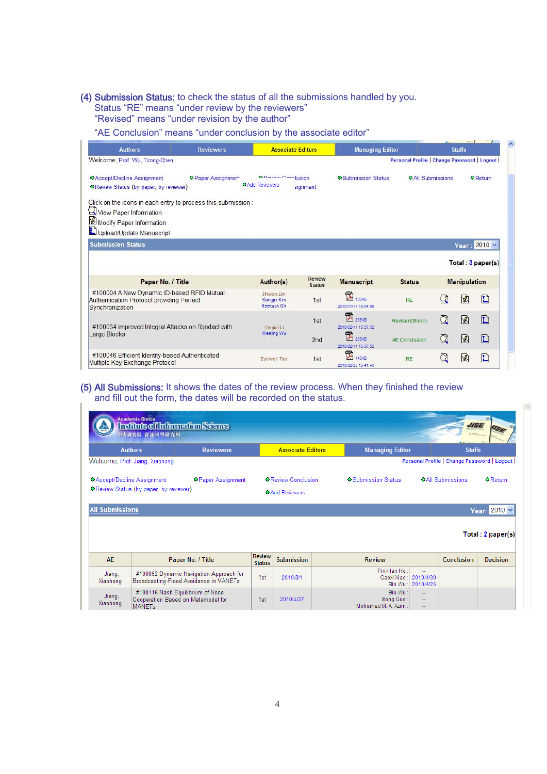#### (4) Submission Status: to check the status of all the submissions handled by you.

Status "RE" means "under review by the reviewers"

"Revised" means "under revision by the author"

"AE Conclusion" means "under conclusion by the associate editor"

| <b>Authors</b>                                                                                                                                 | <b>Reviewers</b>          | <b>Associate Editors</b>                            |                                | <b>Managing Editor</b>                              |                                             |                         | <b>Staffs</b>       |                   |
|------------------------------------------------------------------------------------------------------------------------------------------------|---------------------------|-----------------------------------------------------|--------------------------------|-----------------------------------------------------|---------------------------------------------|-------------------------|---------------------|-------------------|
| Welcome, Prof. Wu, Tzong-Chen                                                                                                                  |                           |                                                     |                                |                                                     | Personal Profile   Change Password   Logout |                         |                     |                   |
| <b>O</b> Accept/Decline Assignment<br>O Review Status (by paper, by reviewer)                                                                  | <b>O</b> Paper Assignment | <b>A Deview Conclusion</b><br><b>OAdd Reviewers</b> | signment                       | <b>O</b> Submission Status                          | <b>OAII</b> Submissions                     |                         |                     | <b>O</b> Return   |
| Click on the icons in each entry to process this submission:<br>View Paper Information<br>Modify Paper Information<br>Upload/Update Manuscript |                           |                                                     |                                |                                                     |                                             |                         |                     |                   |
| <b>Submission Status</b>                                                                                                                       |                           |                                                     |                                |                                                     |                                             |                         |                     | Year: 2010 v      |
|                                                                                                                                                |                           |                                                     |                                |                                                     |                                             |                         |                     | Total: 3 paper(s) |
| Paper No. / Title                                                                                                                              |                           | Author(s)                                           | <b>Review</b><br><b>Status</b> | <b>Manuscript</b>                                   | <b>Status</b>                               |                         | <b>Manipulation</b> |                   |
| #100004 A New Dynamic ID-based RFID Mutual<br>Authentication Protocol providing Perfect<br>Synchronization                                     |                           | Jihwan Lim<br>Sangjin Kim<br>Heekuck Oh             | 1st                            | 四<br><b>BRAKE</b><br>2010/01/11 18:04:08            | <b>RE</b>                                   | ₫                       | 図                   | Ð                 |
| #100034 Improved Integral Attacks on Rijndael with                                                                                             |                           | Yanjun Li                                           | 1st                            | 図<br>255KB<br>2010/02/11 15:37:52                   | Revised(Minor)                              | $\overline{\mathbf{Q}}$ | <b>Y</b>            | Ð                 |
| Large Blocks                                                                                                                                   |                           | Wenling Wu                                          | 2nd                            | $\mathbb{Z}$<br><b>255KB</b><br>2010/02/11 15:37:52 | AE Conclusion                               | $\mathbf \Omega$        | 図                   | D                 |
| #100046 Efficient Identity-based Authenticated<br>Multiple Key Exchange Protocol                                                               |                           | Zuowen Tan                                          | 1st                            | 罗<br>143KB<br>2010/02/25 15:41:46                   | <b>RE</b>                                   | $\mathbf{\Omega}$       | 図                   | D                 |

#### (5) All Submissions: It shows the dates of the review process. When they finished the review and fill out the form, the dates will be recorded on the status.

|                                        | Academia Sinica<br>Institute of Information Science<br>中央研究院 資訊科學研究所                    |                                |                                                    |  |                                              |                                          | <b>JISE</b>             |                   |
|----------------------------------------|-----------------------------------------------------------------------------------------|--------------------------------|----------------------------------------------------|--|----------------------------------------------|------------------------------------------|-------------------------|-------------------|
|                                        | <b>Authors</b>                                                                          | <b>Reviewers</b>               | <b>Associate Editors</b>                           |  | <b>Managing Editor</b>                       |                                          | <b>Staffs</b>           |                   |
|                                        | Welcome, Prof. Jiang, Xiaohong<br>Personal Profile   Change Password   Logout           |                                |                                                    |  |                                              |                                          |                         |                   |
| <sup>O</sup> Accept/Decline Assignment | O Review Status (by paper, by reviewer)                                                 | <b>O</b> Paper Assignment      | <b>OReview Conclusion</b><br><b>OAdd Reviewers</b> |  | <b>O</b> Submission Status                   |                                          | <b>OAII</b> Submissions | <b>O</b> Return   |
| <b>All Submissions</b>                 |                                                                                         |                                |                                                    |  |                                              |                                          |                         | Year: 2010 v      |
|                                        |                                                                                         |                                |                                                    |  |                                              |                                          |                         | Total: 2 paper(s) |
| AE                                     | Paper No. / Title                                                                       | <b>Review</b><br><b>Status</b> | <b>Submission</b>                                  |  | <b>Review</b>                                |                                          | Conclusion              | <b>Decision</b>   |
| Jiang,<br>Xiaohong                     | #100052 Dynamic Navigation Approach for<br>Broadcasting-Flood Avoidance in VANETs       | 1st                            | 2010/3/1                                           |  | Pin-Han Ho:<br>Gaoxi Xiao:<br>Bin Wu:        | $\overline{a}$<br>2010/4/30<br>2010/4/26 |                         |                   |
| Jiang,<br>Xiaohong                     | #100116 Nash Equilibrium of Node<br>Cooperation Based on Metamodel for<br><b>MANETs</b> | 1st                            | 2010/4/27                                          |  | Bin Wu:<br>Song Guo:<br>Mohamed M. A. Azim : | ÷<br>$\overline{\phantom{a}}$<br>$\sim$  |                         |                   |